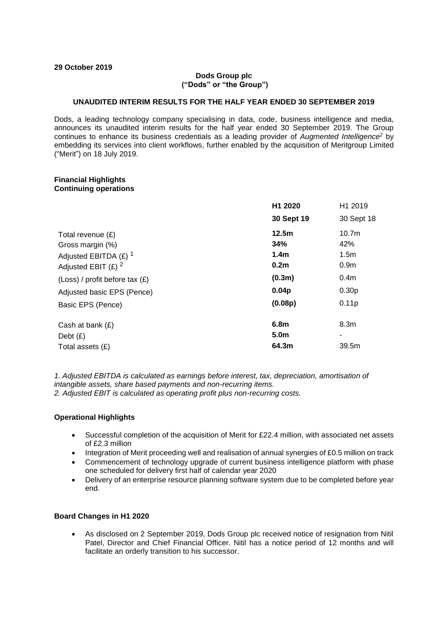#### **29 October 2019**

#### **Dods Group plc ("Dods" or "the Group")**

#### **UNAUDITED INTERIM RESULTS FOR THE HALF YEAR ENDED 30 SEPTEMBER 2019**

Dods, a leading technology company specialising in data, code, business intelligence and media, announces its unaudited interim results for the half year ended 30 September 2019. The Group continues to enhance its business credentials as a leading provider of *Augmented Intelligence<sup>2</sup>* by embedding its services into client workflows, further enabled by the acquisition of Meritgroup Limited ("Merit") on 18 July 2019.

#### **Financial Highlights Continuing operations**

|                                    | H1 2020           | H1 2019           |
|------------------------------------|-------------------|-------------------|
|                                    | 30 Sept 19        | 30 Sept 18        |
| Total revenue (£)                  | 12.5m             | 10.7 <sub>m</sub> |
| Gross margin (%)                   | 34%               | 42%               |
| Adjusted EBITDA $(E)$ <sup>1</sup> | 1.4 <sub>m</sub>  | 1.5 <sub>m</sub>  |
| Adjusted EBIT $(E)$ <sup>2</sup>   | 0.2 <sub>m</sub>  | 0.9 <sub>m</sub>  |
| $(Loss)$ / profit before tax $(E)$ | (0.3m)            | 0.4 <sub>m</sub>  |
| Adjusted basic EPS (Pence)         | 0.04 <sub>p</sub> | 0.30 <sub>p</sub> |
| Basic EPS (Pence)                  | (0.08p)           | 0.11p             |
| Cash at bank $(E)$                 | 6.8m              | 8.3 <sub>m</sub>  |
| Debt $(E)$                         | 5.0 <sub>m</sub>  |                   |
| Total assets (£)                   | 64.3m             | 39.5m             |

*1. Adjusted EBITDA is calculated as earnings before interest, tax, depreciation, amortisation of intangible assets, share based payments and non-recurring items. 2. Adjusted EBIT is calculated as operating profit plus non-recurring costs.*

#### **Operational Highlights**

- Successful completion of the acquisition of Merit for £22.4 million, with associated net assets of £2.3 million
- Integration of Merit proceeding well and realisation of annual synergies of £0.5 million on track
- Commencement of technology upgrade of current business intelligence platform with phase one scheduled for delivery first half of calendar year 2020
- Delivery of an enterprise resource planning software system due to be completed before year end.

#### **Board Changes in H1 2020**

• As disclosed on 2 September 2019, Dods Group plc received notice of resignation from Nitil Patel, Director and Chief Financial Officer. Nitil has a notice period of 12 months and will facilitate an orderly transition to his successor.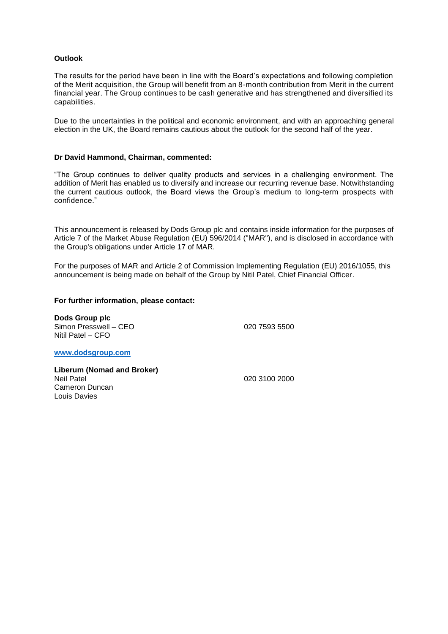#### **Outlook**

The results for the period have been in line with the Board's expectations and following completion of the Merit acquisition, the Group will benefit from an 8-month contribution from Merit in the current financial year. The Group continues to be cash generative and has strengthened and diversified its capabilities.

Due to the uncertainties in the political and economic environment, and with an approaching general election in the UK, the Board remains cautious about the outlook for the second half of the year.

#### **Dr David Hammond, Chairman, commented:**

"The Group continues to deliver quality products and services in a challenging environment. The addition of Merit has enabled us to diversify and increase our recurring revenue base. Notwithstanding the current cautious outlook, the Board views the Group's medium to long-term prospects with confidence."

This announcement is released by Dods Group plc and contains inside information for the purposes of Article 7 of the Market Abuse Regulation (EU) 596/2014 ("MAR"), and is disclosed in accordance with the Group's obligations under Article 17 of MAR.

For the purposes of MAR and Article 2 of Commission Implementing Regulation (EU) 2016/1055, this announcement is being made on behalf of the Group by Nitil Patel, Chief Financial Officer.

#### **For further information, please contact:**

**Dods Group plc** Simon Presswell – CEO 020 7593 5500 Nitil Patel – CFO

**[www.dodsgroup.com](http://www.dodsgroup.com/)**

**Liberum (Nomad and Broker)** Cameron Duncan Louis Davies

020 3100 2000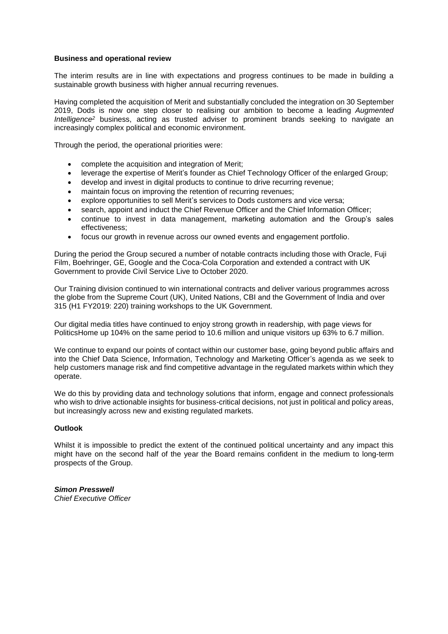#### **Business and operational review**

The interim results are in line with expectations and progress continues to be made in building a sustainable growth business with higher annual recurring revenues.

Having completed the acquisition of Merit and substantially concluded the integration on 30 September 2019, Dods is now one step closer to realising our ambition to become a leading *Augmented Intelligence<sup>2</sup>* business, acting as trusted adviser to prominent brands seeking to navigate an increasingly complex political and economic environment.

Through the period, the operational priorities were:

- complete the acquisition and integration of Merit;
- leverage the expertise of Merit's founder as Chief Technology Officer of the enlarged Group;
- develop and invest in digital products to continue to drive recurring revenue;
- maintain focus on improving the retention of recurring revenues;
- explore opportunities to sell Merit's services to Dods customers and vice versa;
- search, appoint and induct the Chief Revenue Officer and the Chief Information Officer;
- continue to invest in data management, marketing automation and the Group's sales effectiveness;
- focus our growth in revenue across our owned events and engagement portfolio.

During the period the Group secured a number of notable contracts including those with Oracle, Fuji Film, Boehringer, GE, Google and the Coca-Cola Corporation and extended a contract with UK Government to provide Civil Service Live to October 2020.

Our Training division continued to win international contracts and deliver various programmes across the globe from the Supreme Court (UK), United Nations, CBI and the Government of India and over 315 (H1 FY2019: 220) training workshops to the UK Government.

Our digital media titles have continued to enjoy strong growth in readership, with page views for PoliticsHome up 104% on the same period to 10.6 million and unique visitors up 63% to 6.7 million.

We continue to expand our points of contact within our customer base, going beyond public affairs and into the Chief Data Science, Information, Technology and Marketing Officer's agenda as we seek to help customers manage risk and find competitive advantage in the regulated markets within which they operate.

We do this by providing data and technology solutions that inform, engage and connect professionals who wish to drive actionable insights for business-critical decisions, not just in political and policy areas, but increasingly across new and existing regulated markets.

#### **Outlook**

Whilst it is impossible to predict the extent of the continued political uncertainty and any impact this might have on the second half of the year the Board remains confident in the medium to long-term prospects of the Group.

## *Simon Presswell*

*Chief Executive Officer*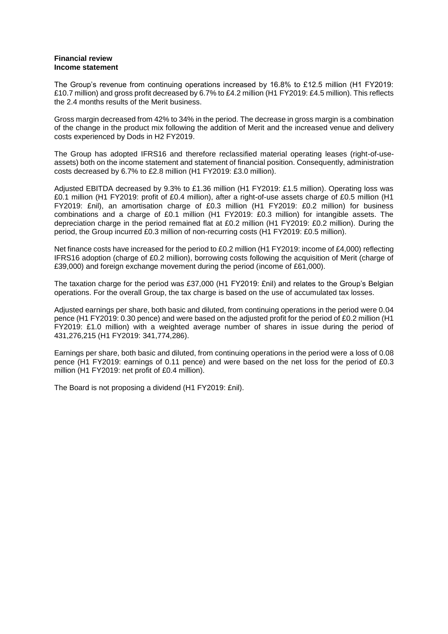#### **Financial review Income statement**

The Group's revenue from continuing operations increased by 16.8% to £12.5 million (H1 FY2019: £10.7 million) and gross profit decreased by 6.7% to £4.2 million (H1 FY2019: £4.5 million). This reflects the 2.4 months results of the Merit business.

Gross margin decreased from 42% to 34% in the period. The decrease in gross margin is a combination of the change in the product mix following the addition of Merit and the increased venue and delivery costs experienced by Dods in H2 FY2019.

The Group has adopted IFRS16 and therefore reclassified material operating leases (right-of-useassets) both on the income statement and statement of financial position. Consequently, administration costs decreased by 6.7% to £2.8 million (H1 FY2019: £3.0 million).

Adjusted EBITDA decreased by 9.3% to £1.36 million (H1 FY2019: £1.5 million). Operating loss was £0.1 million (H1 FY2019: profit of £0.4 million), after a right-of-use assets charge of £0.5 million (H1 FY2019: £nil), an amortisation charge of £0.3 million (H1 FY2019: £0.2 million) for business combinations and a charge of £0.1 million (H1 FY2019: £0.3 million) for intangible assets. The depreciation charge in the period remained flat at £0.2 million (H1 FY2019: £0.2 million). During the period, the Group incurred £0.3 million of non-recurring costs (H1 FY2019: £0.5 million).

Net finance costs have increased for the period to £0.2 million (H1 FY2019: income of £4,000) reflecting IFRS16 adoption (charge of £0.2 million), borrowing costs following the acquisition of Merit (charge of £39,000) and foreign exchange movement during the period (income of £61,000).

The taxation charge for the period was £37,000 (H1 FY2019: £nil) and relates to the Group's Belgian operations. For the overall Group, the tax charge is based on the use of accumulated tax losses.

Adjusted earnings per share, both basic and diluted, from continuing operations in the period were 0.04 pence (H1 FY2019: 0.30 pence) and were based on the adjusted profit for the period of £0.2 million (H1 FY2019: £1.0 million) with a weighted average number of shares in issue during the period of 431,276,215 (H1 FY2019: 341,774,286).

Earnings per share, both basic and diluted, from continuing operations in the period were a loss of 0.08 pence (H1 FY2019: earnings of 0.11 pence) and were based on the net loss for the period of £0.3 million (H1 FY2019: net profit of £0.4 million).

The Board is not proposing a dividend (H1 FY2019: £nil).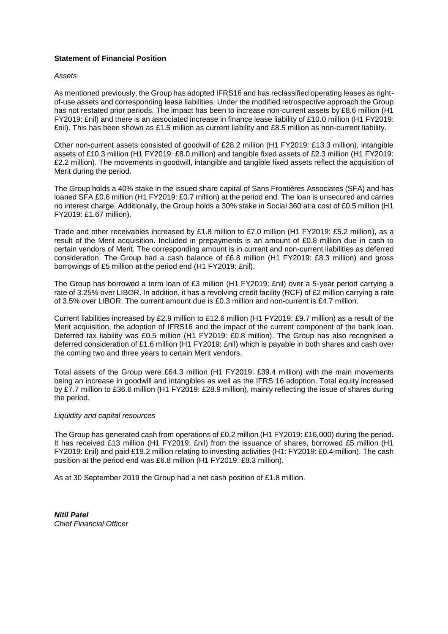#### **Statement of Financial Position**

#### *Assets*

As mentioned previously, the Group has adopted IFRS16 and has reclassified operating leases as rightof-use assets and corresponding lease liabilities. Under the modified retrospective approach the Group has not restated prior periods. The impact has been to increase non-current assets by £8.6 million (H1 FY2019: £nil) and there is an associated increase in finance lease liability of £10.0 million (H1 FY2019: £nil). This has been shown as £1.5 million as current liability and £8.5 million as non-current liability.

Other non-current assets consisted of goodwill of £28.2 million (H1 FY2019: £13.3 million), intangible assets of £10.3 million (H1 FY2019: £8.0 million) and tangible fixed assets of £2.3 million (H1 FY2019: £2.2 million). The movements in goodwill, intangible and tangible fixed assets reflect the acquisition of Merit during the period.

The Group holds a 40% stake in the issued share capital of Sans Frontières Associates (SFA) and has loaned SFA £0.6 million (H1 FY2019: £0.7 million) at the period end. The loan is unsecured and carries no interest charge. Additionally, the Group holds a 30% stake in Social 360 at a cost of £0.5 million (H1 FY2019: £1.67 million).

Trade and other receivables increased by £1.8 million to £7.0 million (H1 FY2019: £5.2 million), as a result of the Merit acquisition. Included in prepayments is an amount of £0.8 million due in cash to certain vendors of Merit. The corresponding amount is in current and non-current liabilities as deferred consideration. The Group had a cash balance of £6.8 million (H1 FY2019: £8.3 million) and gross borrowings of £5 million at the period end (H1 FY2019: £nil).

The Group has borrowed a term loan of £3 million (H1 FY2019: £nil) over a 5-year period carrying a rate of 3.25% over LIBOR. In addition, it has a revolving credit facility (RCF) of £2 million carrying a rate of 3.5% over LIBOR. The current amount due is £0.3 million and non-current is £4.7 million.

Current liabilities increased by £2.9 million to £12.6 million (H1 FY2019: £9.7 million) as a result of the Merit acquisition, the adoption of IFRS16 and the impact of the current component of the bank loan. Deferred tax liability was £0.5 million (H1 FY2019: £0.8 million). The Group has also recognised a deferred consideration of £1.6 million (H1 FY2019: £nil) which is payable in both shares and cash over the coming two and three years to certain Merit vendors.

Total assets of the Group were £64.3 million (H1 FY2019: £39.4 million) with the main movements being an increase in goodwill and intangibles as well as the IFRS 16 adoption. Total equity increased by £7.7 million to £36.6 million (H1 FY2019: £28.9 million), mainly reflecting the issue of shares during the period.

#### *Liquidity and capital resources*

The Group has generated cash from operations of £0.2 million (H1 FY2019: £16,000) during the period. It has received £13 million (H1 FY2019: £nil) from the issuance of shares, borrowed £5 million (H1 FY2019: £nil) and paid £19.2 million relating to investing activities (H1: FY2019: £0.4 million). The cash position at the period end was £6.8 million (H1 FY2019: £8.3 million).

As at 30 September 2019 the Group had a net cash position of £1.8 million.

*Nitil Patel Chief Financial Officer*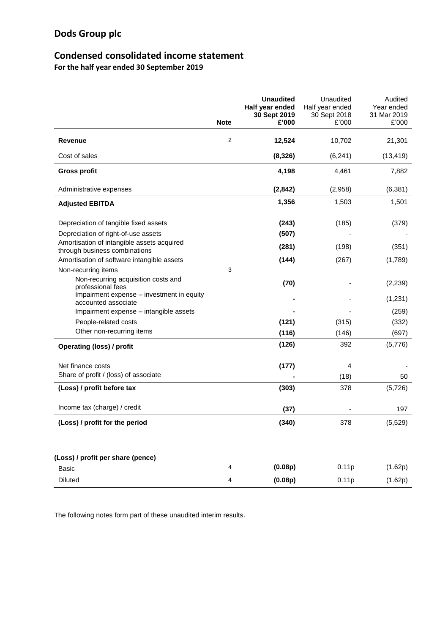## **Condensed consolidated income statement**

**For the half year ended 30 September 2019**

|                                                                             | <b>Note</b> | <b>Unaudited</b><br>Half year ended<br>30 Sept 2019<br>£'000 | Unaudited<br>Half year ended<br>30 Sept 2018<br>£'000 | Audited<br>Year ended<br>31 Mar 2019<br>£'000 |
|-----------------------------------------------------------------------------|-------------|--------------------------------------------------------------|-------------------------------------------------------|-----------------------------------------------|
| Revenue                                                                     | 2           | 12,524                                                       | 10,702                                                | 21,301                                        |
| Cost of sales                                                               |             | (8, 326)                                                     | (6, 241)                                              | (13, 419)                                     |
| <b>Gross profit</b>                                                         |             | 4,198                                                        | 4,461                                                 | 7,882                                         |
| Administrative expenses                                                     |             | (2, 842)                                                     | (2,958)                                               | (6, 381)                                      |
| <b>Adjusted EBITDA</b>                                                      |             | 1,356                                                        | 1,503                                                 | 1,501                                         |
| Depreciation of tangible fixed assets                                       |             | (243)                                                        | (185)                                                 | (379)                                         |
| Depreciation of right-of-use assets                                         |             | (507)                                                        |                                                       |                                               |
| Amortisation of intangible assets acquired<br>through business combinations |             | (281)                                                        | (198)                                                 | (351)                                         |
| Amortisation of software intangible assets                                  |             | (144)                                                        | (267)                                                 | (1,789)                                       |
| Non-recurring items                                                         | 3           |                                                              |                                                       |                                               |
| Non-recurring acquisition costs and<br>professional fees                    |             | (70)                                                         |                                                       | (2,239)                                       |
| Impairment expense – investment in equity<br>accounted associate            |             |                                                              |                                                       | (1,231)                                       |
| Impairment expense – intangible assets                                      |             |                                                              |                                                       | (259)                                         |
| People-related costs                                                        |             | (121)                                                        | (315)                                                 | (332)                                         |
| Other non-recurring items                                                   |             | (116)                                                        | (146)                                                 | (697)                                         |
| <b>Operating (loss) / profit</b>                                            |             | (126)                                                        | 392                                                   | (5,776)                                       |
| Net finance costs                                                           |             | (177)                                                        | 4                                                     |                                               |
| Share of profit / (loss) of associate                                       |             |                                                              | (18)                                                  | 50                                            |
| (Loss) / profit before tax                                                  |             | (303)                                                        | 378                                                   | (5,726)                                       |
| Income tax (charge) / credit                                                |             | (37)                                                         |                                                       | 197                                           |
| (Loss) / profit for the period                                              |             | (340)                                                        | 378                                                   | (5, 529)                                      |
| (Loss) / profit per share (pence)                                           |             |                                                              |                                                       |                                               |
| <b>Basic</b>                                                                | 4           | (0.08p)                                                      | 0.11p                                                 | (1.62p)                                       |
| <b>Diluted</b>                                                              | 4           | (0.08p)                                                      | 0.11p                                                 | (1.62p)                                       |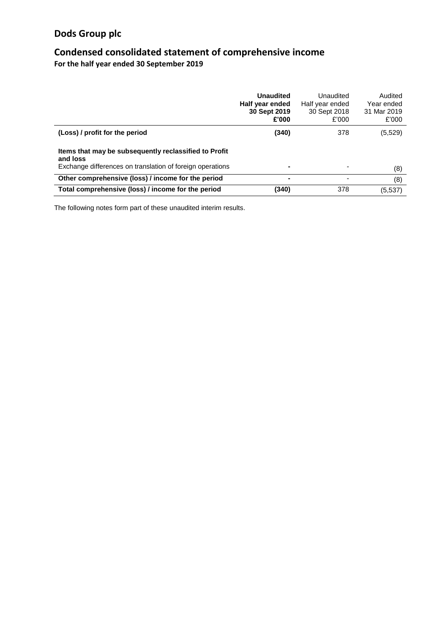## **Condensed consolidated statement of comprehensive income**

**For the half year ended 30 September 2019**

|                                                                                                                                | <b>Unaudited</b><br>Half year ended<br>30 Sept 2019<br>£'000 | Unaudited<br>Half year ended<br>30 Sept 2018<br>£'000 | Audited<br>Year ended<br>31 Mar 2019<br>£'000 |
|--------------------------------------------------------------------------------------------------------------------------------|--------------------------------------------------------------|-------------------------------------------------------|-----------------------------------------------|
| (Loss) / profit for the period                                                                                                 | (340)                                                        | 378                                                   | (5, 529)                                      |
| Items that may be subsequently reclassified to Profit<br>and loss<br>Exchange differences on translation of foreign operations |                                                              |                                                       | (8)                                           |
| Other comprehensive (loss) / income for the period                                                                             |                                                              | ٠                                                     | (8)                                           |
| Total comprehensive (loss) / income for the period                                                                             | (340)                                                        | 378                                                   | (5,537)                                       |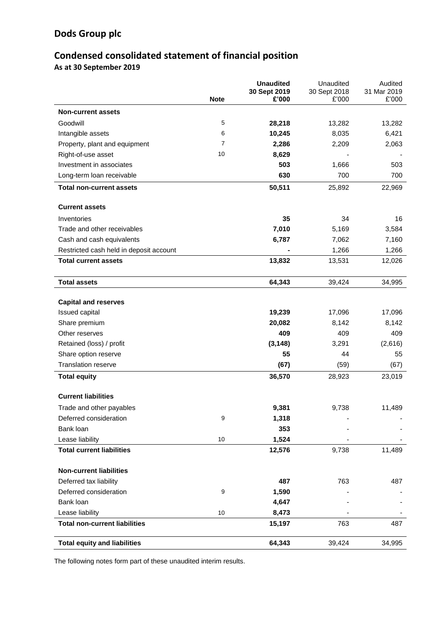# **Condensed consolidated statement of financial position**

**As at 30 September 2019**

|                                         | <b>Note</b> | <b>Unaudited</b><br>30 Sept 2019<br>£'000 | Unaudited<br>30 Sept 2018<br>£'000 | Audited<br>31 Mar 2019<br>£'000 |
|-----------------------------------------|-------------|-------------------------------------------|------------------------------------|---------------------------------|
| <b>Non-current assets</b>               |             |                                           |                                    |                                 |
| Goodwill                                | 5           | 28,218                                    | 13,282                             | 13,282                          |
| Intangible assets                       | 6           | 10,245                                    | 8,035                              | 6,421                           |
| Property, plant and equipment           | 7           | 2,286                                     | 2,209                              | 2,063                           |
| Right-of-use asset                      | 10          | 8,629                                     |                                    |                                 |
| Investment in associates                |             | 503                                       | 1,666                              | 503                             |
| Long-term loan receivable               |             | 630                                       | 700                                | 700                             |
| <b>Total non-current assets</b>         |             | 50,511                                    | 25,892                             | 22,969                          |
| <b>Current assets</b>                   |             |                                           |                                    |                                 |
| Inventories                             |             | 35                                        | 34                                 | 16                              |
| Trade and other receivables             |             | 7,010                                     | 5,169                              | 3,584                           |
| Cash and cash equivalents               |             | 6,787                                     | 7,062                              | 7,160                           |
| Restricted cash held in deposit account |             |                                           | 1,266                              | 1,266                           |
| <b>Total current assets</b>             |             | 13,832                                    | 13,531                             | 12,026                          |
|                                         |             |                                           |                                    |                                 |
| <b>Total assets</b>                     |             | 64,343                                    | 39,424                             | 34,995                          |
| <b>Capital and reserves</b>             |             |                                           |                                    |                                 |
| Issued capital                          |             | 19,239                                    | 17,096                             | 17,096                          |
| Share premium                           |             | 20,082                                    | 8,142                              | 8,142                           |
| Other reserves                          |             | 409                                       | 409                                | 409                             |
| Retained (loss) / profit                |             | (3, 148)                                  | 3,291                              | (2,616)                         |
| Share option reserve                    |             | 55                                        | 44                                 | 55                              |
| <b>Translation reserve</b>              |             | (67)                                      | (59)                               | (67)                            |
| <b>Total equity</b>                     |             | 36,570                                    | 28,923                             | 23,019                          |
| <b>Current liabilities</b>              |             |                                           |                                    |                                 |
| Trade and other payables                |             | 9,381                                     | 9,738                              | 11,489                          |
| Deferred consideration                  | 9           | 1,318                                     |                                    |                                 |
| Bank loan                               |             | 353                                       |                                    |                                 |
| Lease liability                         | 10          | 1,524                                     |                                    |                                 |
| <b>Total current liabilities</b>        |             | 12,576                                    | 9,738                              | 11,489                          |
| <b>Non-current liabilities</b>          |             |                                           |                                    |                                 |
| Deferred tax liability                  |             | 487                                       | 763                                | 487                             |
| Deferred consideration                  | 9           | 1,590                                     |                                    |                                 |
| Bank loan                               |             | 4,647                                     |                                    |                                 |
| Lease liability                         | 10          | 8,473                                     |                                    |                                 |
| <b>Total non-current liabilities</b>    |             | 15,197                                    | 763                                | 487                             |
| <b>Total equity and liabilities</b>     |             | 64,343                                    | 39,424                             | 34,995                          |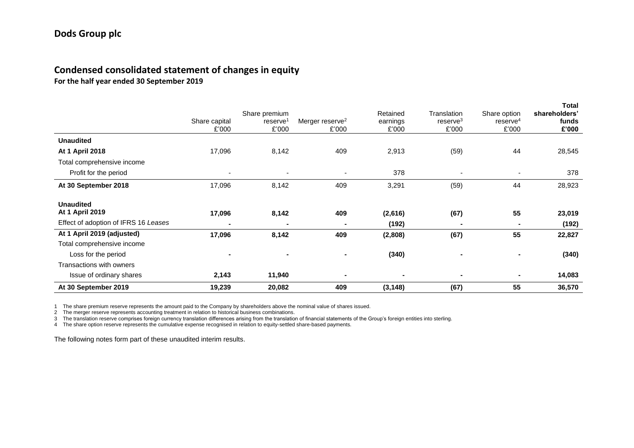## **Condensed consolidated statement of changes in equity**

**For the half year ended 30 September 2019**

|                                      | Share capital<br>£'000   | Share premium<br>reserve <sup>1</sup><br>£'000 | Merger reserve <sup>2</sup><br>£'000 | Retained<br>earnings<br>£'000 | Translation<br>reserve <sup>3</sup><br>£'000 | Share option<br>$r$ eserve $4$<br>£'000 | <b>Total</b><br>shareholders'<br>funds<br>£'000 |
|--------------------------------------|--------------------------|------------------------------------------------|--------------------------------------|-------------------------------|----------------------------------------------|-----------------------------------------|-------------------------------------------------|
| <b>Unaudited</b>                     |                          |                                                |                                      |                               |                                              |                                         |                                                 |
| At 1 April 2018                      | 17,096                   | 8,142                                          | 409                                  | 2,913                         | (59)                                         | 44                                      | 28,545                                          |
| Total comprehensive income           |                          |                                                |                                      |                               |                                              |                                         |                                                 |
| Profit for the period                | $\overline{\phantom{a}}$ |                                                | $\overline{\phantom{a}}$             | 378                           | $\blacksquare$                               | $\overline{\phantom{a}}$                | 378                                             |
| At 30 September 2018                 | 17,096                   | 8,142                                          | 409                                  | 3,291                         | (59)                                         | 44                                      | 28,923                                          |
| <b>Unaudited</b><br>At 1 April 2019  | 17,096                   | 8,142                                          | 409                                  | (2,616)                       | (67)                                         | 55                                      | 23,019                                          |
| Effect of adoption of IFRS 16 Leases |                          |                                                |                                      | (192)                         | -                                            |                                         | (192)                                           |
| At 1 April 2019 (adjusted)           | 17,096                   | 8,142                                          | 409                                  | (2,808)                       | (67)                                         | 55                                      | 22,827                                          |
| Total comprehensive income           |                          |                                                |                                      |                               |                                              |                                         |                                                 |
| Loss for the period                  |                          |                                                |                                      | (340)                         | $\blacksquare$                               |                                         | (340)                                           |
| Transactions with owners             |                          |                                                |                                      |                               |                                              |                                         |                                                 |
| Issue of ordinary shares             | 2,143                    | 11,940                                         |                                      |                               | $\blacksquare$                               | $\blacksquare$                          | 14,083                                          |
| At 30 September 2019                 | 19,239                   | 20,082                                         | 409                                  | (3, 148)                      | (67)                                         | 55                                      | 36,570                                          |

1 The share premium reserve represents the amount paid to the Company by shareholders above the nominal value of shares issued.

2 The merger reserve represents accounting treatment in relation to historical business combinations.

3 The translation reserve comprises foreign currency translation differences arising from the translation of financial statements of the Group's foreign entities into sterling.

4 The share option reserve represents the cumulative expense recognised in relation to equity-settled share-based payments.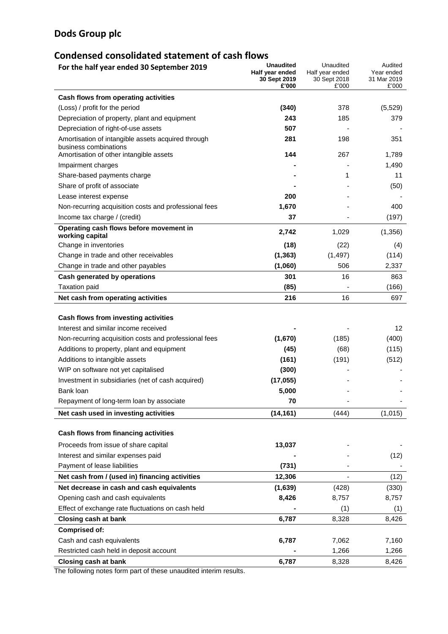## **Condensed consolidated statement of cash flows**

| For the half year ended 30 September 2019                        | <b>Unaudited</b><br>Half year ended<br>30 Sept 2019<br>£'000 | Unaudited<br>Half year ended<br>30 Sept 2018<br>£'000 | Audited<br>Year ended<br>31 Mar 2019<br>£'000 |
|------------------------------------------------------------------|--------------------------------------------------------------|-------------------------------------------------------|-----------------------------------------------|
| Cash flows from operating activities                             |                                                              |                                                       |                                               |
| (Loss) / profit for the period                                   | (340)                                                        | 378                                                   | (5, 529)                                      |
| Depreciation of property, plant and equipment                    | 243                                                          | 185                                                   | 379                                           |
| Depreciation of right-of-use assets                              | 507                                                          |                                                       |                                               |
| Amortisation of intangible assets acquired through               | 281                                                          | 198                                                   | 351                                           |
| business combinations<br>Amortisation of other intangible assets | 144                                                          | 267                                                   | 1,789                                         |
| Impairment charges                                               |                                                              |                                                       | 1,490                                         |
| Share-based payments charge                                      |                                                              | 1                                                     | 11                                            |
| Share of profit of associate                                     |                                                              |                                                       | (50)                                          |
| Lease interest expense                                           | 200                                                          |                                                       |                                               |
| Non-recurring acquisition costs and professional fees            | 1,670                                                        |                                                       | 400                                           |
| Income tax charge / (credit)                                     | 37                                                           |                                                       | (197)                                         |
| Operating cash flows before movement in                          | 2,742                                                        | 1,029                                                 | (1,356)                                       |
| working capital<br>Change in inventories                         | (18)                                                         | (22)                                                  |                                               |
| Change in trade and other receivables                            | (1, 363)                                                     | (1, 497)                                              | (4)<br>(114)                                  |
| Change in trade and other payables                               | (1,060)                                                      | 506                                                   | 2,337                                         |
| Cash generated by operations                                     | 301                                                          | 16                                                    | 863                                           |
| <b>Taxation paid</b>                                             | (85)                                                         |                                                       | (166)                                         |
| Net cash from operating activities                               | 216                                                          | 16                                                    | 697                                           |
|                                                                  |                                                              |                                                       |                                               |
| Cash flows from investing activities                             |                                                              |                                                       |                                               |
| Interest and similar income received                             |                                                              |                                                       | 12                                            |
| Non-recurring acquisition costs and professional fees            | (1,670)                                                      | (185)                                                 | (400)                                         |
| Additions to property, plant and equipment                       | (45)                                                         | (68)                                                  | (115)                                         |
| Additions to intangible assets                                   | (161)                                                        | (191)                                                 | (512)                                         |
| WIP on software not yet capitalised                              | (300)                                                        |                                                       |                                               |
| Investment in subsidiaries (net of cash acquired)                | (17, 055)                                                    |                                                       |                                               |
| Bank loan                                                        | 5,000                                                        |                                                       |                                               |
| Repayment of long-term loan by associate                         | 70                                                           |                                                       |                                               |
| Net cash used in investing activities                            | (14, 161)                                                    | (444)                                                 | (1,015)                                       |
| Cash flows from financing activities                             |                                                              |                                                       |                                               |
| Proceeds from issue of share capital                             | 13,037                                                       |                                                       |                                               |
| Interest and similar expenses paid                               |                                                              |                                                       | (12)                                          |
| Payment of lease liabilities                                     | (731)                                                        |                                                       |                                               |
| Net cash from / (used in) financing activities                   | 12,306                                                       |                                                       | (12)                                          |
| Net decrease in cash and cash equivalents                        | (1,639)                                                      | (428)                                                 | (330)                                         |
| Opening cash and cash equivalents                                | 8,426                                                        | 8,757                                                 | 8,757                                         |
| Effect of exchange rate fluctuations on cash held                |                                                              | (1)                                                   | (1)                                           |
| <b>Closing cash at bank</b>                                      | 6,787                                                        | 8,328                                                 | 8,426                                         |
| <b>Comprised of:</b>                                             |                                                              |                                                       |                                               |
| Cash and cash equivalents                                        | 6,787                                                        | 7,062                                                 | 7,160                                         |
| Restricted cash held in deposit account                          |                                                              | 1,266                                                 | 1,266                                         |
| <b>Closing cash at bank</b>                                      | 6,787                                                        | 8,328                                                 | 8,426                                         |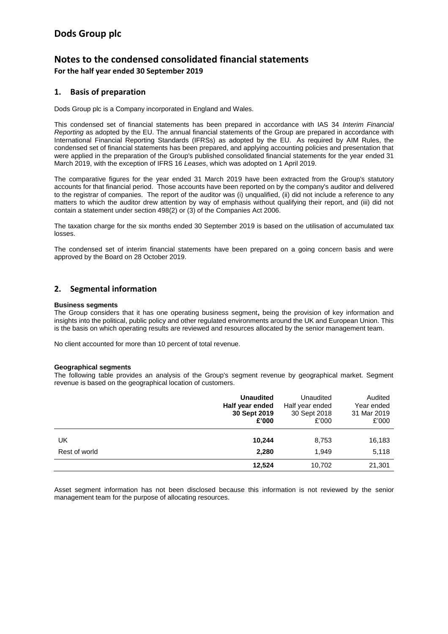## **Notes to the condensed consolidated financial statements For the half year ended 30 September 2019**

#### **1. Basis of preparation**

Dods Group plc is a Company incorporated in England and Wales.

This condensed set of financial statements has been prepared in accordance with IAS 34 *Interim Financial Reporting* as adopted by the EU. The annual financial statements of the Group are prepared in accordance with International Financial Reporting Standards (IFRSs) as adopted by the EU. As required by AIM Rules, the condensed set of financial statements has been prepared, and applying accounting policies and presentation that were applied in the preparation of the Group's published consolidated financial statements for the year ended 31 March 2019, with the exception of IFRS 16 *Leases*, which was adopted on 1 April 2019.

The comparative figures for the year ended 31 March 2019 have been extracted from the Group's statutory accounts for that financial period. Those accounts have been reported on by the company's auditor and delivered to the registrar of companies. The report of the auditor was (i) unqualified, (ii) did not include a reference to any matters to which the auditor drew attention by way of emphasis without qualifying their report, and (iii) did not contain a statement under section 498(2) or (3) of the Companies Act 2006.

The taxation charge for the six months ended 30 September 2019 is based on the utilisation of accumulated tax losses.

The condensed set of interim financial statements have been prepared on a going concern basis and were approved by the Board on 28 October 2019.

#### **2. Segmental information**

#### **Business segments**

The Group considers that it has one operating business segment**,** being the provision of key information and insights into the political, public policy and other regulated environments around the UK and European Union. This is the basis on which operating results are reviewed and resources allocated by the senior management team.

No client accounted for more than 10 percent of total revenue.

#### **Geographical segments**

The following table provides an analysis of the Group's segment revenue by geographical market. Segment revenue is based on the geographical location of customers.

|               | <b>Unaudited</b> | Unaudited       | Audited     |
|---------------|------------------|-----------------|-------------|
|               | Half year ended  | Half year ended | Year ended  |
|               | 30 Sept 2019     | 30 Sept 2018    | 31 Mar 2019 |
|               | £'000            | £'000           | £'000       |
| UK            | 10,244           | 8,753           | 16,183      |
| Rest of world | 2,280            | 1,949           | 5,118       |
|               | 12,524           | 10,702          | 21,301      |

Asset segment information has not been disclosed because this information is not reviewed by the senior management team for the purpose of allocating resources.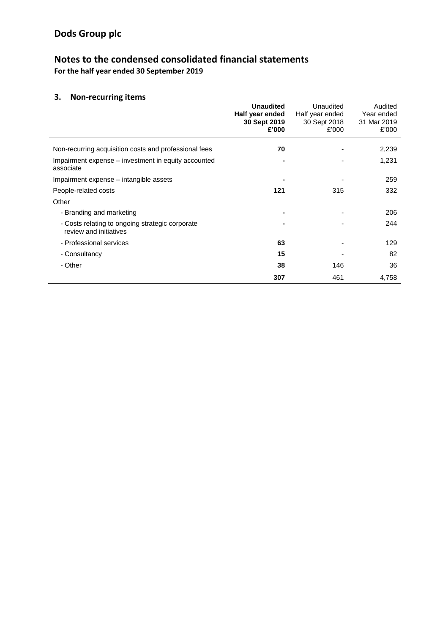## **Notes to the condensed consolidated financial statements For the half year ended 30 September 2019**

## **3. Non-recurring items**

|                                                                           | <b>Unaudited</b><br>Half year ended<br>30 Sept 2019<br>£'000 | Unaudited<br>Half year ended<br>30 Sept 2018<br>£'000 | Audited<br>Year ended<br>31 Mar 2019<br>£'000 |
|---------------------------------------------------------------------------|--------------------------------------------------------------|-------------------------------------------------------|-----------------------------------------------|
| Non-recurring acquisition costs and professional fees                     | 70                                                           |                                                       | 2,239                                         |
| Impairment expense – investment in equity accounted<br>associate          |                                                              |                                                       | 1,231                                         |
| Impairment expense – intangible assets                                    |                                                              |                                                       | 259                                           |
| People-related costs                                                      | 121                                                          | 315                                                   | 332                                           |
| Other                                                                     |                                                              |                                                       |                                               |
| - Branding and marketing                                                  |                                                              |                                                       | 206                                           |
| - Costs relating to ongoing strategic corporate<br>review and initiatives |                                                              |                                                       | 244                                           |
| - Professional services                                                   | 63                                                           |                                                       | 129                                           |
| - Consultancy                                                             | 15                                                           |                                                       | 82                                            |
| - Other                                                                   | 38                                                           | 146                                                   | 36                                            |
|                                                                           | 307                                                          | 461                                                   | 4,758                                         |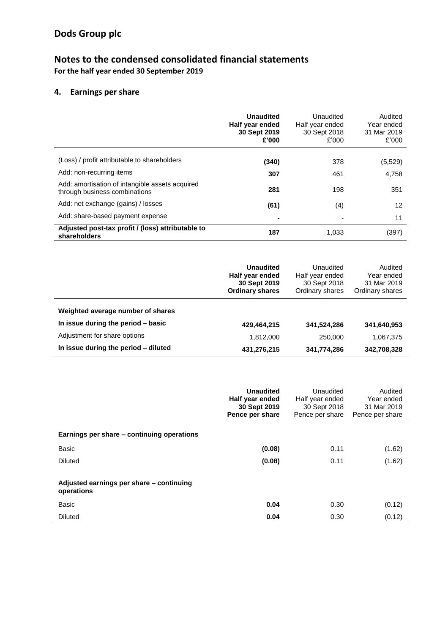## **Notes to the condensed consolidated financial statements For the half year ended 30 September 2019**

## **4. Earnings per share**

|                                                                                  | Unaudited<br>Half year ended<br>30 Sept 2019<br>£'000 | Unaudited<br>Half year ended<br>30 Sept 2018<br>£'000 | Audited<br>Year ended<br>31 Mar 2019<br>£'000 |
|----------------------------------------------------------------------------------|-------------------------------------------------------|-------------------------------------------------------|-----------------------------------------------|
| (Loss) / profit attributable to shareholders                                     |                                                       |                                                       |                                               |
|                                                                                  | (340)                                                 | 378                                                   | (5,529)                                       |
| Add: non-recurring items                                                         | 307                                                   | 461                                                   | 4,758                                         |
| Add: amortisation of intangible assets acquired<br>through business combinations | 281                                                   | 198                                                   | 351                                           |
| Add: net exchange (gains) / losses                                               | (61)                                                  | (4)                                                   | 12                                            |
| Add: share-based payment expense                                                 |                                                       |                                                       | 11                                            |
| Adjusted post-tax profit / (loss) attributable to<br>shareholders                | 187                                                   | 1.033                                                 | (397)                                         |

|                                      | <b>Unaudited</b><br>Half year ended<br>30 Sept 2019<br><b>Ordinary shares</b> | Unaudited<br>Half year ended<br>30 Sept 2018<br>Ordinary shares | Audited<br>Year ended<br>31 Mar 2019<br>Ordinary shares |
|--------------------------------------|-------------------------------------------------------------------------------|-----------------------------------------------------------------|---------------------------------------------------------|
| Weighted average number of shares    |                                                                               |                                                                 |                                                         |
| In issue during the period - basic   | 429,464,215                                                                   | 341,524,286                                                     | 341,640,953                                             |
| Adjustment for share options         | 1,812,000                                                                     | 250,000                                                         | 1,067,375                                               |
| In issue during the period - diluted | 431,276,215                                                                   | 341,774,286                                                     | 342,708,328                                             |

|                                                        | <b>Unaudited</b><br>Half year ended<br>30 Sept 2019<br>Pence per share | Unaudited<br>Half year ended<br>30 Sept 2018<br>Pence per share | Audited<br>Year ended<br>31 Mar 2019<br>Pence per share |
|--------------------------------------------------------|------------------------------------------------------------------------|-----------------------------------------------------------------|---------------------------------------------------------|
| Earnings per share – continuing operations             |                                                                        |                                                                 |                                                         |
| <b>Basic</b>                                           | (0.08)                                                                 | 0.11                                                            | (1.62)                                                  |
| <b>Diluted</b>                                         | (0.08)                                                                 | 0.11                                                            | (1.62)                                                  |
| Adjusted earnings per share - continuing<br>operations |                                                                        |                                                                 |                                                         |
| <b>Basic</b>                                           | 0.04                                                                   | 0.30                                                            | (0.12)                                                  |
| <b>Diluted</b>                                         | 0.04                                                                   | 0.30                                                            | (0.12)                                                  |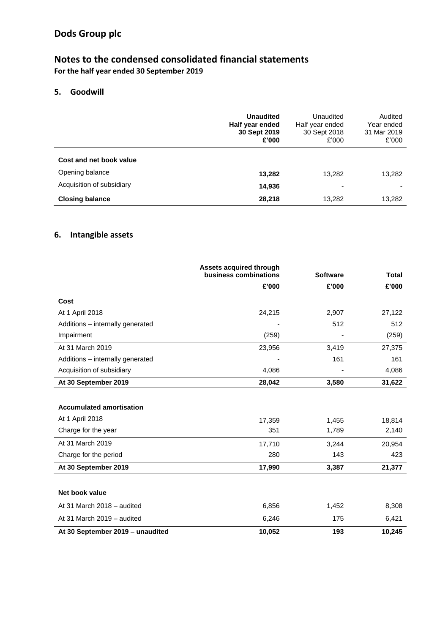## **Notes to the condensed consolidated financial statements For the half year ended 30 September 2019**

### **5. Goodwill**

|                           | <b>Unaudited</b><br>Half year ended<br>30 Sept 2019<br>£'000 | Unaudited<br>Half year ended<br>30 Sept 2018<br>£'000 | Audited<br>Year ended<br>31 Mar 2019<br>£'000 |
|---------------------------|--------------------------------------------------------------|-------------------------------------------------------|-----------------------------------------------|
| Cost and net book value   |                                                              |                                                       |                                               |
| Opening balance           | 13,282                                                       | 13,282                                                | 13,282                                        |
| Acquisition of subsidiary | 14,936                                                       | $\overline{\phantom{a}}$                              |                                               |
| <b>Closing balance</b>    | 28,218                                                       | 13,282                                                | 13,282                                        |

### **6. Intangible assets**

|                                  | Assets acquired through<br>business combinations | <b>Software</b> | <b>Total</b> |
|----------------------------------|--------------------------------------------------|-----------------|--------------|
|                                  | £'000                                            | £'000           | £'000        |
| Cost                             |                                                  |                 |              |
| At 1 April 2018                  | 24,215                                           | 2,907           | 27,122       |
| Additions - internally generated |                                                  | 512             | 512          |
| Impairment                       | (259)                                            |                 | (259)        |
| At 31 March 2019                 | 23,956                                           | 3,419           | 27,375       |
| Additions - internally generated |                                                  | 161             | 161          |
| Acquisition of subsidiary        | 4,086                                            |                 | 4,086        |
| At 30 September 2019             | 28,042                                           | 3,580           | 31,622       |
|                                  |                                                  |                 |              |
| <b>Accumulated amortisation</b>  |                                                  |                 |              |
| At 1 April 2018                  | 17,359                                           | 1,455           | 18,814       |
| Charge for the year              | 351                                              | 1,789           | 2,140        |
| At 31 March 2019                 | 17,710                                           | 3,244           | 20,954       |
| Charge for the period            | 280                                              | 143             | 423          |
| At 30 September 2019             | 17,990                                           | 3,387           | 21,377       |
|                                  |                                                  |                 |              |
| Net book value                   |                                                  |                 |              |
| At 31 March 2018 - audited       | 6,856                                            | 1,452           | 8,308        |
| At 31 March 2019 - audited       | 6,246                                            | 175             | 6,421        |
| At 30 September 2019 - unaudited | 10,052                                           | 193             | 10,245       |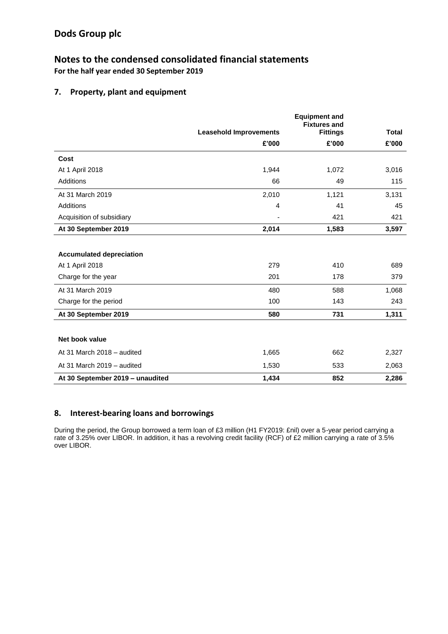## **Notes to the condensed consolidated financial statements For the half year ended 30 September 2019**

### **7. Property, plant and equipment**

|                                  |                               | <b>Equipment and</b><br><b>Fixtures and</b> |              |
|----------------------------------|-------------------------------|---------------------------------------------|--------------|
|                                  | <b>Leasehold Improvements</b> | <b>Fittings</b>                             | <b>Total</b> |
|                                  | £'000                         | £'000                                       | £'000        |
| Cost                             |                               |                                             |              |
| At 1 April 2018                  | 1,944                         | 1,072                                       | 3,016        |
| Additions                        | 66                            | 49                                          | 115          |
| At 31 March 2019                 | 2,010                         | 1,121                                       | 3,131        |
| Additions                        | $\overline{4}$                | 41                                          | 45           |
| Acquisition of subsidiary        |                               | 421                                         | 421          |
| At 30 September 2019             | 2,014                         | 1,583                                       | 3,597        |
|                                  |                               |                                             |              |
| <b>Accumulated depreciation</b>  |                               |                                             |              |
| At 1 April 2018                  | 279                           | 410                                         | 689          |
| Charge for the year              | 201                           | 178                                         | 379          |
| At 31 March 2019                 | 480                           | 588                                         | 1,068        |
| Charge for the period            | 100                           | 143                                         | 243          |
| At 30 September 2019             | 580                           | 731                                         | 1,311        |
|                                  |                               |                                             |              |
| Net book value                   |                               |                                             |              |
| At 31 March 2018 - audited       | 1,665                         | 662                                         | 2,327        |
| At 31 March 2019 - audited       | 1,530                         | 533                                         | 2,063        |
| At 30 September 2019 - unaudited | 1,434                         | 852                                         | 2,286        |

#### **8. Interest-bearing loans and borrowings**

During the period, the Group borrowed a term loan of £3 million (H1 FY2019: £nil) over a 5-year period carrying a rate of 3.25% over LIBOR. In addition, it has a revolving credit facility (RCF) of £2 million carrying a rate of 3.5% over LIBOR.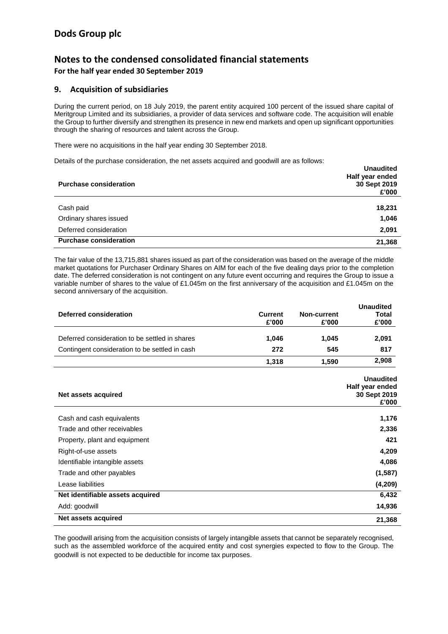## **Notes to the condensed consolidated financial statements For the half year ended 30 September 2019**

#### **9. Acquisition of subsidiaries**

During the current period, on 18 July 2019, the parent entity acquired 100 percent of the issued share capital of Meritgroup Limited and its subsidiaries, a provider of data services and software code. The acquisition will enable the Group to further diversify and strengthen its presence in new end markets and open up significant opportunities through the sharing of resources and talent across the Group.

There were no acquisitions in the half year ending 30 September 2018.

Details of the purchase consideration, the net assets acquired and goodwill are as follows:

| <b>Purchase consideration</b> | <b>Unaudited</b><br>Half year ended<br>30 Sept 2019<br>£'000 |
|-------------------------------|--------------------------------------------------------------|
| Cash paid                     | 18,231                                                       |
| Ordinary shares issued        | 1,046                                                        |
| Deferred consideration        | 2,091                                                        |
| <b>Purchase consideration</b> | 21,368                                                       |

The fair value of the 13,715,881 shares issued as part of the consideration was based on the average of the middle market quotations for Purchaser Ordinary Shares on AIM for each of the five dealing days prior to the completion date. The deferred consideration is not contingent on any future event occurring and requires the Group to issue a variable number of shares to the value of £1.045m on the first anniversary of the acquisition and £1.045m on the second anniversary of the acquisition.

|                                                |                |                    | <b>Unaudited</b> |
|------------------------------------------------|----------------|--------------------|------------------|
| Deferred consideration                         | <b>Current</b> | <b>Non-current</b> | <b>Total</b>     |
|                                                | £'000          | £'000              | £'000            |
| Deferred consideration to be settled in shares | 1,046          | 1,045              | 2,091            |
| Contingent consideration to be settled in cash | 272            | 545                | 817              |
|                                                | 1,318          | 1,590              | 2,908            |
|                                                |                |                    | <b>Unaudited</b> |
|                                                |                |                    | Half year ended  |
| Net assets acquired                            |                |                    | 30 Sept 2019     |
|                                                |                |                    | £'000            |
| Cash and cash equivalents                      |                |                    | 1,176            |
| Trade and other receivables                    |                |                    | 2,336            |
| Property, plant and equipment                  |                |                    | 421              |
| Right-of-use assets                            |                |                    | 4,209            |
| Identifiable intangible assets                 |                |                    | 4,086            |
| Trade and other payables                       |                |                    | (1, 587)         |
| Lease liabilities                              |                |                    | (4, 209)         |
| Net identifiable assets acquired               |                |                    | 6,432            |
| Add: goodwill                                  |                |                    | 14,936           |
| Net assets acquired                            |                |                    | 21,368           |

The goodwill arising from the acquisition consists of largely intangible assets that cannot be separately recognised, such as the assembled workforce of the acquired entity and cost synergies expected to flow to the Group. The goodwill is not expected to be deductible for income tax purposes.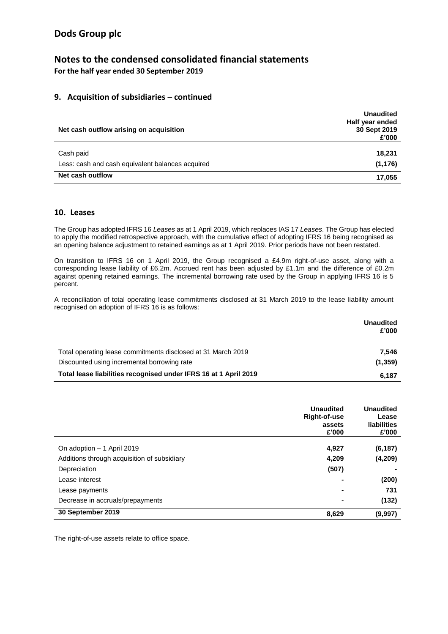### **Notes to the condensed consolidated financial statements For the half year ended 30 September 2019**

### **9. Acquisition of subsidiaries – continued**

| Net cash outflow arising on acquisition                              | <b>Unaudited</b><br>Half year ended<br>30 Sept 2019<br>£'000 |
|----------------------------------------------------------------------|--------------------------------------------------------------|
| Cash paid                                                            | 18,231                                                       |
| Less: cash and cash equivalent balances acquired<br>Net cash outflow | (1, 176)<br>17,055                                           |

#### **10. Leases**

The Group has adopted IFRS 16 *Leases* as at 1 April 2019, which replaces IAS 17 *Leases*. The Group has elected to apply the modified retrospective approach, with the cumulative effect of adopting IFRS 16 being recognised as an opening balance adjustment to retained earnings as at 1 April 2019. Prior periods have not been restated.

On transition to IFRS 16 on 1 April 2019, the Group recognised a £4.9m right-of-use asset, along with a corresponding lease liability of £6.2m. Accrued rent has been adjusted by £1.1m and the difference of £0.2m against opening retained earnings. The incremental borrowing rate used by the Group in applying IFRS 16 is 5 percent.

A reconciliation of total operating lease commitments disclosed at 31 March 2019 to the lease liability amount recognised on adoption of IFRS 16 is as follows:

|                                                                  | <b>Unaudited</b><br>£'000 |
|------------------------------------------------------------------|---------------------------|
| Total operating lease commitments disclosed at 31 March 2019     | 7.546                     |
| Discounted using incremental borrowing rate                      | (1, 359)                  |
| Total lease liabilities recognised under IFRS 16 at 1 April 2019 | 6.187                     |

|                                             | <b>Unaudited</b><br>Right-of-use<br>assets<br>£'000 | <b>Unaudited</b><br>Lease<br>liabilities<br>£'000 |
|---------------------------------------------|-----------------------------------------------------|---------------------------------------------------|
| On adoption - 1 April 2019                  | 4,927                                               | (6, 187)                                          |
|                                             | 4.209                                               |                                                   |
| Additions through acquisition of subsidiary |                                                     | (4, 209)                                          |
| Depreciation                                | (507)                                               |                                                   |
| Lease interest                              |                                                     | (200)                                             |
| Lease payments                              |                                                     | 731                                               |
| Decrease in accruals/prepayments            | -                                                   | (132)                                             |
| 30 September 2019                           | 8,629                                               | (9,997)                                           |

The right-of-use assets relate to office space.